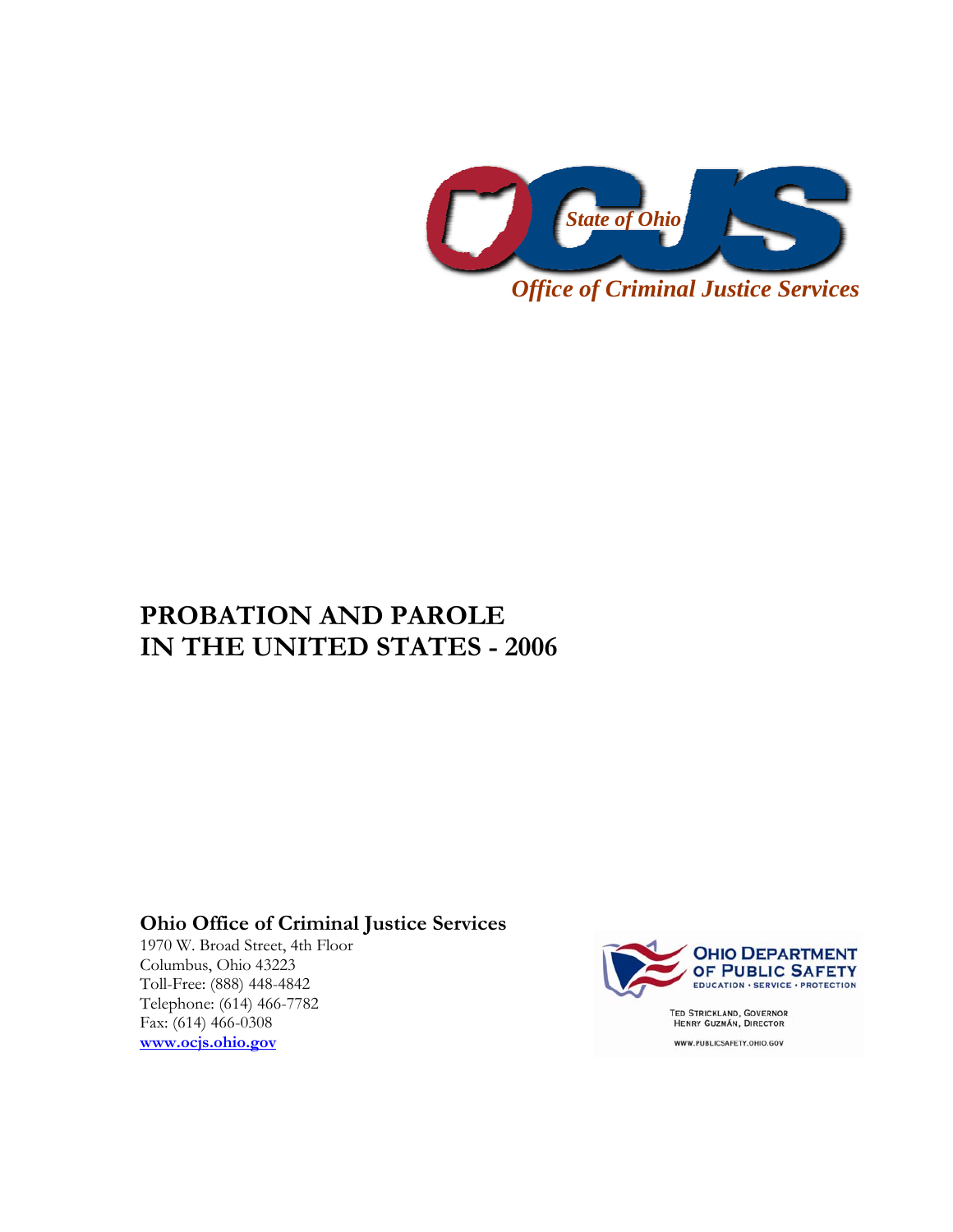

# **PROBATION AND PAROLE IN THE UNITED STATES - 2006**

## **Ohio Office of Criminal Justice Services**

1970 W. Broad Street, 4th Floor Columbus, Ohio 43223 Toll-Free: (888) 448-4842 Telephone: (614) 466-7782 Fax: (614) 466-0308 **www.ocjs.ohio.gov**



WWW.PUBLICSAFETY.OHIO.GOV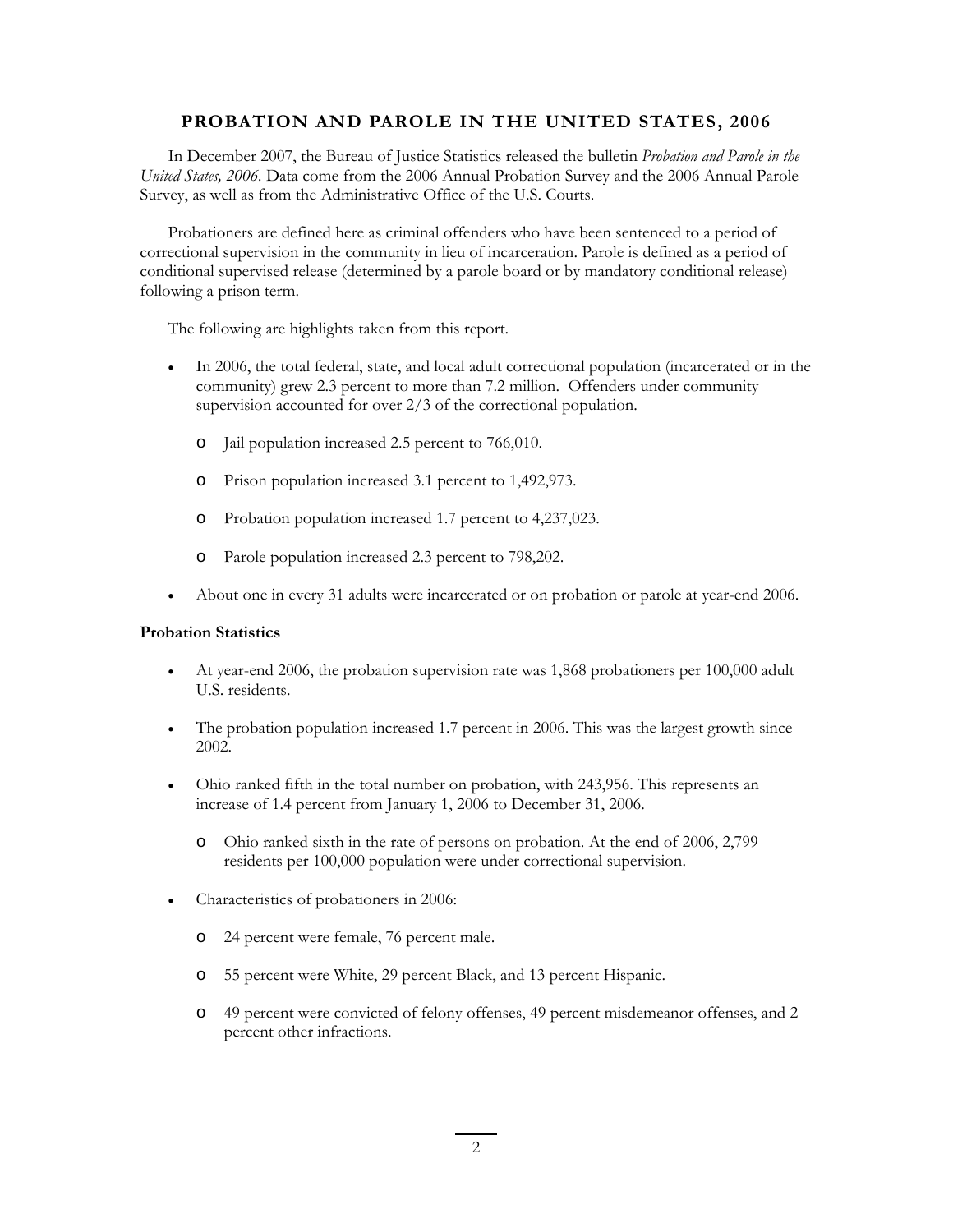#### **PROBATION AND PAROLE IN THE UNITED STATES, 2006**

In December 2007, the Bureau of Justice Statistics released the bulletin *Probation and Parole in the United States, 2006.* Data come from the 2006 Annual Probation Survey and the 2006 Annual Parole Survey, as well as from the Administrative Office of the U.S. Courts.

Probationers are defined here as criminal offenders who have been sentenced to a period of correctional supervision in the community in lieu of incarceration. Parole is defined as a period of conditional supervised release (determined by a parole board or by mandatory conditional release) following a prison term.

The following are highlights taken from this report.

- In 2006, the total federal, state, and local adult correctional population (incarcerated or in the community) grew 2.3 percent to more than 7.2 million. Offenders under community supervision accounted for over 2/3 of the correctional population.
	- o Jail population increased 2.5 percent to 766,010.
	- o Prison population increased 3.1 percent to 1,492,973.
	- o Probation population increased 1.7 percent to 4,237,023.
	- o Parole population increased 2.3 percent to 798,202.
- About one in every 31 adults were incarcerated or on probation or parole at year-end 2006.

#### **Probation Statistics**

- At year-end 2006, the probation supervision rate was 1,868 probationers per 100,000 adult U.S. residents.
- The probation population increased 1.7 percent in 2006. This was the largest growth since 2002.
- Ohio ranked fifth in the total number on probation, with 243,956. This represents an increase of 1.4 percent from January 1, 2006 to December 31, 2006.
	- o Ohio ranked sixth in the rate of persons on probation. At the end of 2006, 2,799 residents per 100,000 population were under correctional supervision.
- Characteristics of probationers in 2006:
	- o 24 percent were female, 76 percent male.
	- o 55 percent were White, 29 percent Black, and 13 percent Hispanic.
	- o 49 percent were convicted of felony offenses, 49 percent misdemeanor offenses, and 2 percent other infractions.